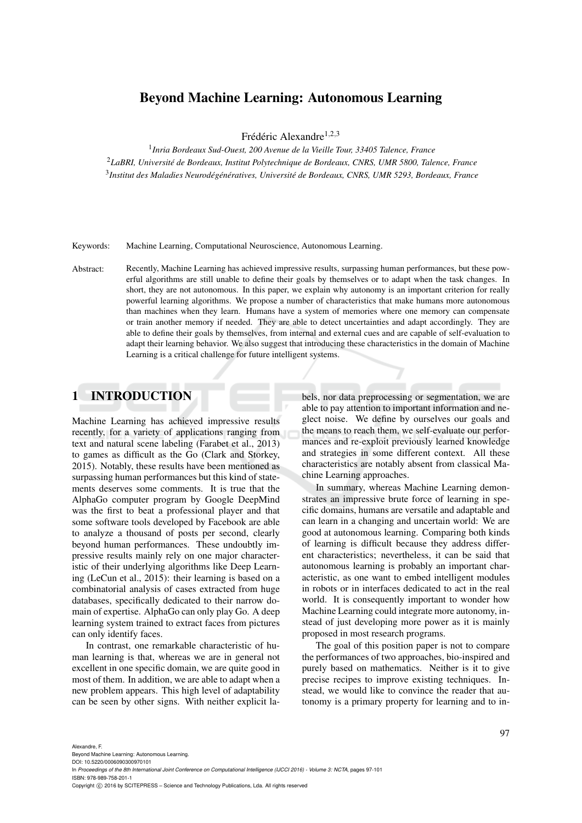### Beyond Machine Learning: Autonomous Learning

Frédéric Alexandre<sup>1,2,3</sup>

1 *Inria Bordeaux Sud-Ouest, 200 Avenue de la Vieille Tour, 33405 Talence, France* <sup>2</sup>*LaBRI, Universite de Bordeaux, Institut Polytechnique de Bordeaux, CNRS, UMR 5800, Talence, France ´* 3 *Institut des Maladies Neurodeg´ en´ eratives, Universit ´ e de Bordeaux, CNRS, UMR 5293, Bordeaux, France ´*

Keywords: Machine Learning, Computational Neuroscience, Autonomous Learning.

Abstract: Recently, Machine Learning has achieved impressive results, surpassing human performances, but these powerful algorithms are still unable to define their goals by themselves or to adapt when the task changes. In short, they are not autonomous. In this paper, we explain why autonomy is an important criterion for really powerful learning algorithms. We propose a number of characteristics that make humans more autonomous than machines when they learn. Humans have a system of memories where one memory can compensate or train another memory if needed. They are able to detect uncertainties and adapt accordingly. They are able to define their goals by themselves, from internal and external cues and are capable of self-evaluation to adapt their learning behavior. We also suggest that introducing these characteristics in the domain of Machine Learning is a critical challenge for future intelligent systems.

### 1 INTRODUCTION

Machine Learning has achieved impressive results recently, for a variety of applications ranging from text and natural scene labeling (Farabet et al., 2013) to games as difficult as the Go (Clark and Storkey, 2015). Notably, these results have been mentioned as surpassing human performances but this kind of statements deserves some comments. It is true that the AlphaGo computer program by Google DeepMind was the first to beat a professional player and that some software tools developed by Facebook are able to analyze a thousand of posts per second, clearly beyond human performances. These undoubtly impressive results mainly rely on one major characteristic of their underlying algorithms like Deep Learning (LeCun et al., 2015): their learning is based on a combinatorial analysis of cases extracted from huge databases, specifically dedicated to their narrow domain of expertise. AlphaGo can only play Go. A deep learning system trained to extract faces from pictures can only identify faces.

In contrast, one remarkable characteristic of human learning is that, whereas we are in general not excellent in one specific domain, we are quite good in most of them. In addition, we are able to adapt when a new problem appears. This high level of adaptability can be seen by other signs. With neither explicit labels, nor data preprocessing or segmentation, we are able to pay attention to important information and neglect noise. We define by ourselves our goals and the means to reach them, we self-evaluate our performances and re-exploit previously learned knowledge and strategies in some different context. All these characteristics are notably absent from classical Machine Learning approaches.

In summary, whereas Machine Learning demonstrates an impressive brute force of learning in specific domains, humans are versatile and adaptable and can learn in a changing and uncertain world: We are good at autonomous learning. Comparing both kinds of learning is difficult because they address different characteristics; nevertheless, it can be said that autonomous learning is probably an important characteristic, as one want to embed intelligent modules in robots or in interfaces dedicated to act in the real world. It is consequently important to wonder how Machine Learning could integrate more autonomy, instead of just developing more power as it is mainly proposed in most research programs.

The goal of this position paper is not to compare the performances of two approaches, bio-inspired and purely based on mathematics. Neither is it to give precise recipes to improve existing techniques. Instead, we would like to convince the reader that autonomy is a primary property for learning and to in-

DOI: 10.5220/0006090300970101

In *Proceedings of the 8th International Joint Conference on Computational Intelligence (IJCCI 2016) - Volume 3: NCTA*, pages 97-101 ISBN: 978-989-758-201-1

Copyright (C) 2016 by SCITEPRESS - Science and Technology Publications, Lda. All rights reserved

Beyond Machine Learning: Autonomous Learning.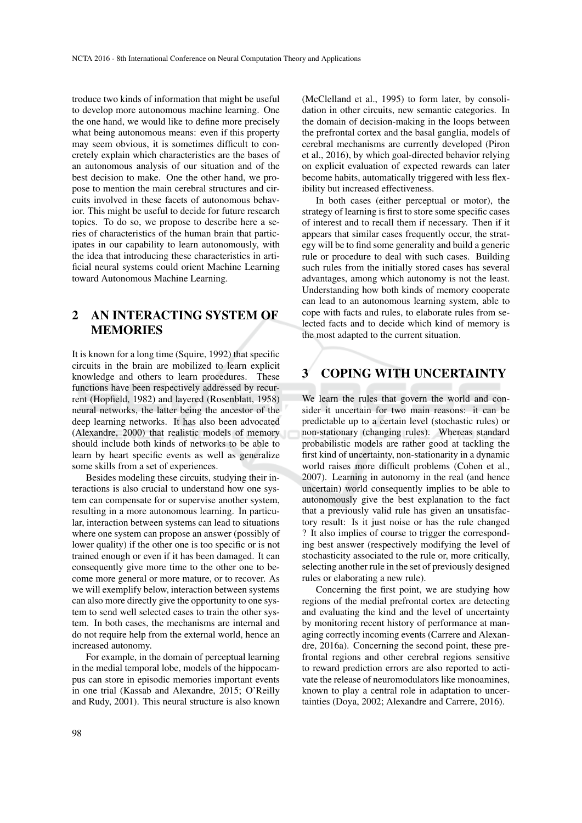troduce two kinds of information that might be useful to develop more autonomous machine learning. One the one hand, we would like to define more precisely what being autonomous means: even if this property may seem obvious, it is sometimes difficult to concretely explain which characteristics are the bases of an autonomous analysis of our situation and of the best decision to make. One the other hand, we propose to mention the main cerebral structures and circuits involved in these facets of autonomous behavior. This might be useful to decide for future research topics. To do so, we propose to describe here a series of characteristics of the human brain that participates in our capability to learn autonomously, with the idea that introducing these characteristics in artificial neural systems could orient Machine Learning toward Autonomous Machine Learning.

### 2 AN INTERACTING SYSTEM OF MEMORIES

It is known for a long time (Squire, 1992) that specific circuits in the brain are mobilized to learn explicit knowledge and others to learn procedures. These functions have been respectively addressed by recurrent (Hopfield, 1982) and layered (Rosenblatt, 1958) neural networks, the latter being the ancestor of the deep learning networks. It has also been advocated (Alexandre, 2000) that realistic models of memory should include both kinds of networks to be able to learn by heart specific events as well as generalize some skills from a set of experiences.

Besides modeling these circuits, studying their interactions is also crucial to understand how one system can compensate for or supervise another system, resulting in a more autonomous learning. In particular, interaction between systems can lead to situations where one system can propose an answer (possibly of lower quality) if the other one is too specific or is not trained enough or even if it has been damaged. It can consequently give more time to the other one to become more general or more mature, or to recover. As we will exemplify below, interaction between systems can also more directly give the opportunity to one system to send well selected cases to train the other system. In both cases, the mechanisms are internal and do not require help from the external world, hence an increased autonomy.

For example, in the domain of perceptual learning in the medial temporal lobe, models of the hippocampus can store in episodic memories important events in one trial (Kassab and Alexandre, 2015; O'Reilly and Rudy, 2001). This neural structure is also known

(McClelland et al., 1995) to form later, by consolidation in other circuits, new semantic categories. In the domain of decision-making in the loops between the prefrontal cortex and the basal ganglia, models of cerebral mechanisms are currently developed (Piron et al., 2016), by which goal-directed behavior relying on explicit evaluation of expected rewards can later become habits, automatically triggered with less flexibility but increased effectiveness.

In both cases (either perceptual or motor), the strategy of learning is first to store some specific cases of interest and to recall them if necessary. Then if it appears that similar cases frequently occur, the strategy will be to find some generality and build a generic rule or procedure to deal with such cases. Building such rules from the initially stored cases has several advantages, among which autonomy is not the least. Understanding how both kinds of memory cooperate can lead to an autonomous learning system, able to cope with facts and rules, to elaborate rules from selected facts and to decide which kind of memory is the most adapted to the current situation.

### 3 COPING WITH UNCERTAINTY

We learn the rules that govern the world and consider it uncertain for two main reasons: it can be predictable up to a certain level (stochastic rules) or non-stationary (changing rules). Whereas standard probabilistic models are rather good at tackling the first kind of uncertainty, non-stationarity in a dynamic world raises more difficult problems (Cohen et al., 2007). Learning in autonomy in the real (and hence uncertain) world consequently implies to be able to autonomously give the best explanation to the fact that a previously valid rule has given an unsatisfactory result: Is it just noise or has the rule changed ? It also implies of course to trigger the corresponding best answer (respectively modifying the level of stochasticity associated to the rule or, more critically, selecting another rule in the set of previously designed rules or elaborating a new rule).

Concerning the first point, we are studying how regions of the medial prefrontal cortex are detecting and evaluating the kind and the level of uncertainty by monitoring recent history of performance at managing correctly incoming events (Carrere and Alexandre, 2016a). Concerning the second point, these prefrontal regions and other cerebral regions sensitive to reward prediction errors are also reported to activate the release of neuromodulators like monoamines, known to play a central role in adaptation to uncertainties (Doya, 2002; Alexandre and Carrere, 2016).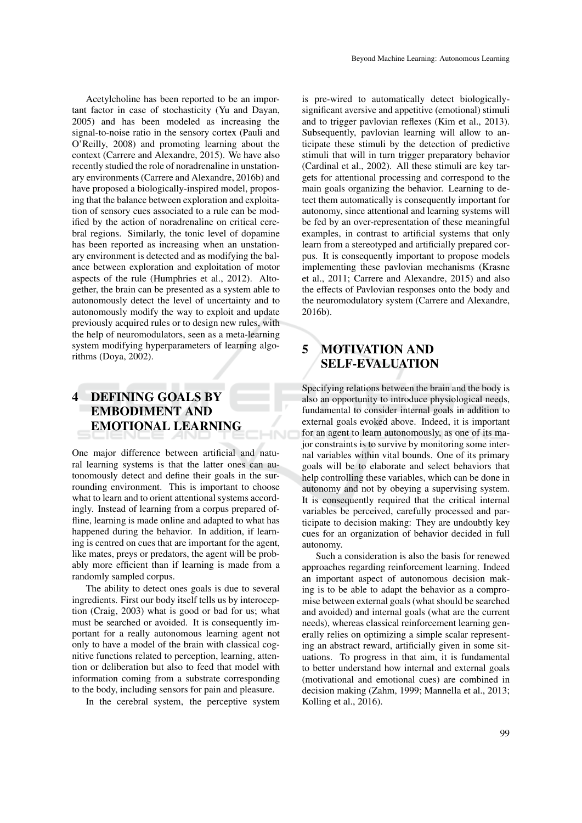Acetylcholine has been reported to be an important factor in case of stochasticity (Yu and Dayan, 2005) and has been modeled as increasing the signal-to-noise ratio in the sensory cortex (Pauli and O'Reilly, 2008) and promoting learning about the context (Carrere and Alexandre, 2015). We have also recently studied the role of noradrenaline in unstationary environments (Carrere and Alexandre, 2016b) and have proposed a biologically-inspired model, proposing that the balance between exploration and exploitation of sensory cues associated to a rule can be modified by the action of noradrenaline on critical cerebral regions. Similarly, the tonic level of dopamine has been reported as increasing when an unstationary environment is detected and as modifying the balance between exploration and exploitation of motor aspects of the rule (Humphries et al., 2012). Altogether, the brain can be presented as a system able to autonomously detect the level of uncertainty and to autonomously modify the way to exploit and update previously acquired rules or to design new rules, with the help of neuromodulators, seen as a meta-learning system modifying hyperparameters of learning algorithms (Doya, 2002).

# 4 DEFINING GOALS BY EMBODIMENT AND EMOTIONAL LEARNING

One major difference between artificial and natural learning systems is that the latter ones can autonomously detect and define their goals in the surrounding environment. This is important to choose what to learn and to orient attentional systems accordingly. Instead of learning from a corpus prepared offline, learning is made online and adapted to what has happened during the behavior. In addition, if learning is centred on cues that are important for the agent, like mates, preys or predators, the agent will be probably more efficient than if learning is made from a randomly sampled corpus.

The ability to detect ones goals is due to several ingredients. First our body itself tells us by interoception (Craig, 2003) what is good or bad for us; what must be searched or avoided. It is consequently important for a really autonomous learning agent not only to have a model of the brain with classical cognitive functions related to perception, learning, attention or deliberation but also to feed that model with information coming from a substrate corresponding to the body, including sensors for pain and pleasure.

In the cerebral system, the perceptive system

is pre-wired to automatically detect biologicallysignificant aversive and appetitive (emotional) stimuli and to trigger pavlovian reflexes (Kim et al., 2013). Subsequently, pavlovian learning will allow to anticipate these stimuli by the detection of predictive stimuli that will in turn trigger preparatory behavior (Cardinal et al., 2002). All these stimuli are key targets for attentional processing and correspond to the main goals organizing the behavior. Learning to detect them automatically is consequently important for autonomy, since attentional and learning systems will be fed by an over-representation of these meaningful examples, in contrast to artificial systems that only learn from a stereotyped and artificially prepared corpus. It is consequently important to propose models implementing these pavlovian mechanisms (Krasne et al., 2011; Carrere and Alexandre, 2015) and also the effects of Pavlovian responses onto the body and the neuromodulatory system (Carrere and Alexandre, 2016b).

## 5 MOTIVATION AND SELF-EVALUATION

Specifying relations between the brain and the body is also an opportunity to introduce physiological needs, fundamental to consider internal goals in addition to external goals evoked above. Indeed, it is important for an agent to learn autonomously, as one of its major constraints is to survive by monitoring some internal variables within vital bounds. One of its primary goals will be to elaborate and select behaviors that help controlling these variables, which can be done in autonomy and not by obeying a supervising system. It is consequently required that the critical internal variables be perceived, carefully processed and participate to decision making: They are undoubtly key cues for an organization of behavior decided in full autonomy.

Such a consideration is also the basis for renewed approaches regarding reinforcement learning. Indeed an important aspect of autonomous decision making is to be able to adapt the behavior as a compromise between external goals (what should be searched and avoided) and internal goals (what are the current needs), whereas classical reinforcement learning generally relies on optimizing a simple scalar representing an abstract reward, artificially given in some situations. To progress in that aim, it is fundamental to better understand how internal and external goals (motivational and emotional cues) are combined in decision making (Zahm, 1999; Mannella et al., 2013; Kolling et al., 2016).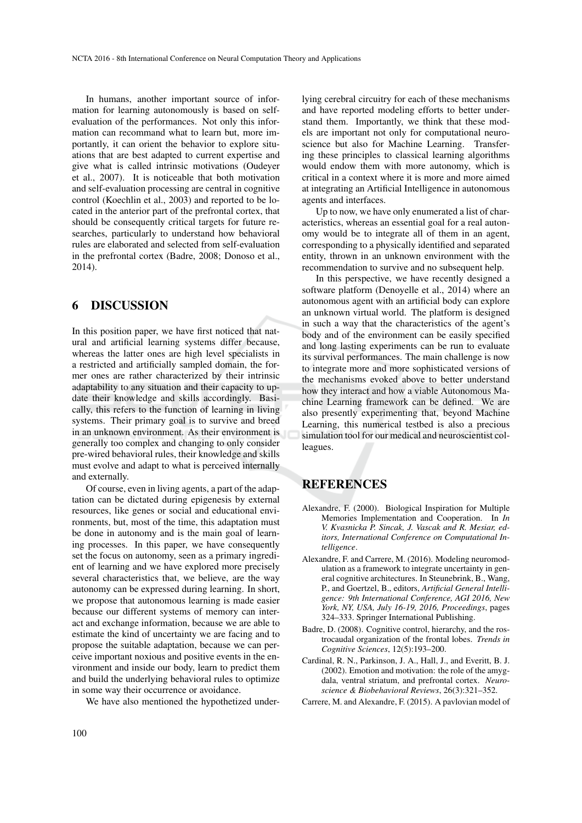In humans, another important source of information for learning autonomously is based on selfevaluation of the performances. Not only this information can recommand what to learn but, more importantly, it can orient the behavior to explore situations that are best adapted to current expertise and give what is called intrinsic motivations (Oudeyer et al., 2007). It is noticeable that both motivation and self-evaluation processing are central in cognitive control (Koechlin et al., 2003) and reported to be located in the anterior part of the prefrontal cortex, that should be consequently critical targets for future researches, particularly to understand how behavioral rules are elaborated and selected from self-evaluation in the prefrontal cortex (Badre, 2008; Donoso et al., 2014).

### 6 DISCUSSION

In this position paper, we have first noticed that natural and artificial learning systems differ because, whereas the latter ones are high level specialists in a restricted and artificially sampled domain, the former ones are rather characterized by their intrinsic adaptability to any situation and their capacity to update their knowledge and skills accordingly. Basically, this refers to the function of learning in living systems. Their primary goal is to survive and breed in an unknown environment. As their environment is generally too complex and changing to only consider pre-wired behavioral rules, their knowledge and skills must evolve and adapt to what is perceived internally and externally.

Of course, even in living agents, a part of the adaptation can be dictated during epigenesis by external resources, like genes or social and educational environments, but, most of the time, this adaptation must be done in autonomy and is the main goal of learning processes. In this paper, we have consequently set the focus on autonomy, seen as a primary ingredient of learning and we have explored more precisely several characteristics that, we believe, are the way autonomy can be expressed during learning. In short, we propose that autonomous learning is made easier because our different systems of memory can interact and exchange information, because we are able to estimate the kind of uncertainty we are facing and to propose the suitable adaptation, because we can perceive important noxious and positive events in the environment and inside our body, learn to predict them and build the underlying behavioral rules to optimize in some way their occurrence or avoidance.

We have also mentioned the hypothetized under-

lying cerebral circuitry for each of these mechanisms and have reported modeling efforts to better understand them. Importantly, we think that these models are important not only for computational neuroscience but also for Machine Learning. Transfering these principles to classical learning algorithms would endow them with more autonomy, which is critical in a context where it is more and more aimed at integrating an Artificial Intelligence in autonomous agents and interfaces.

Up to now, we have only enumerated a list of characteristics, whereas an essential goal for a real autonomy would be to integrate all of them in an agent, corresponding to a physically identified and separated entity, thrown in an unknown environment with the recommendation to survive and no subsequent help.

In this perspective, we have recently designed a software platform (Denoyelle et al., 2014) where an autonomous agent with an artificial body can explore an unknown virtual world. The platform is designed in such a way that the characteristics of the agent's body and of the environment can be easily specified and long lasting experiments can be run to evaluate its survival performances. The main challenge is now to integrate more and more sophisticated versions of the mechanisms evoked above to better understand how they interact and how a viable Autonomous Machine Learning framework can be defined. We are also presently experimenting that, beyond Machine Learning, this numerical testbed is also a precious simulation tool for our medical and neuroscientist colleagues.

#### REFERENCES

- Alexandre, F. (2000). Biological Inspiration for Multiple Memories Implementation and Cooperation. In *In V. Kvasnicka P. Sincak, J. Vascak and R. Mesiar, editors, International Conference on Computational Intelligence*.
- Alexandre, F. and Carrere, M. (2016). Modeling neuromodulation as a framework to integrate uncertainty in general cognitive architectures. In Steunebrink, B., Wang, P., and Goertzel, B., editors, *Artificial General Intelligence: 9th International Conference, AGI 2016, New York, NY, USA, July 16-19, 2016, Proceedings*, pages 324–333. Springer International Publishing.
- Badre, D. (2008). Cognitive control, hierarchy, and the rostrocaudal organization of the frontal lobes. *Trends in Cognitive Sciences*, 12(5):193–200.
- Cardinal, R. N., Parkinson, J. A., Hall, J., and Everitt, B. J. (2002). Emotion and motivation: the role of the amygdala, ventral striatum, and prefrontal cortex. *Neuroscience & Biobehavioral Reviews*, 26(3):321–352.
- Carrere, M. and Alexandre, F. (2015). A pavlovian model of